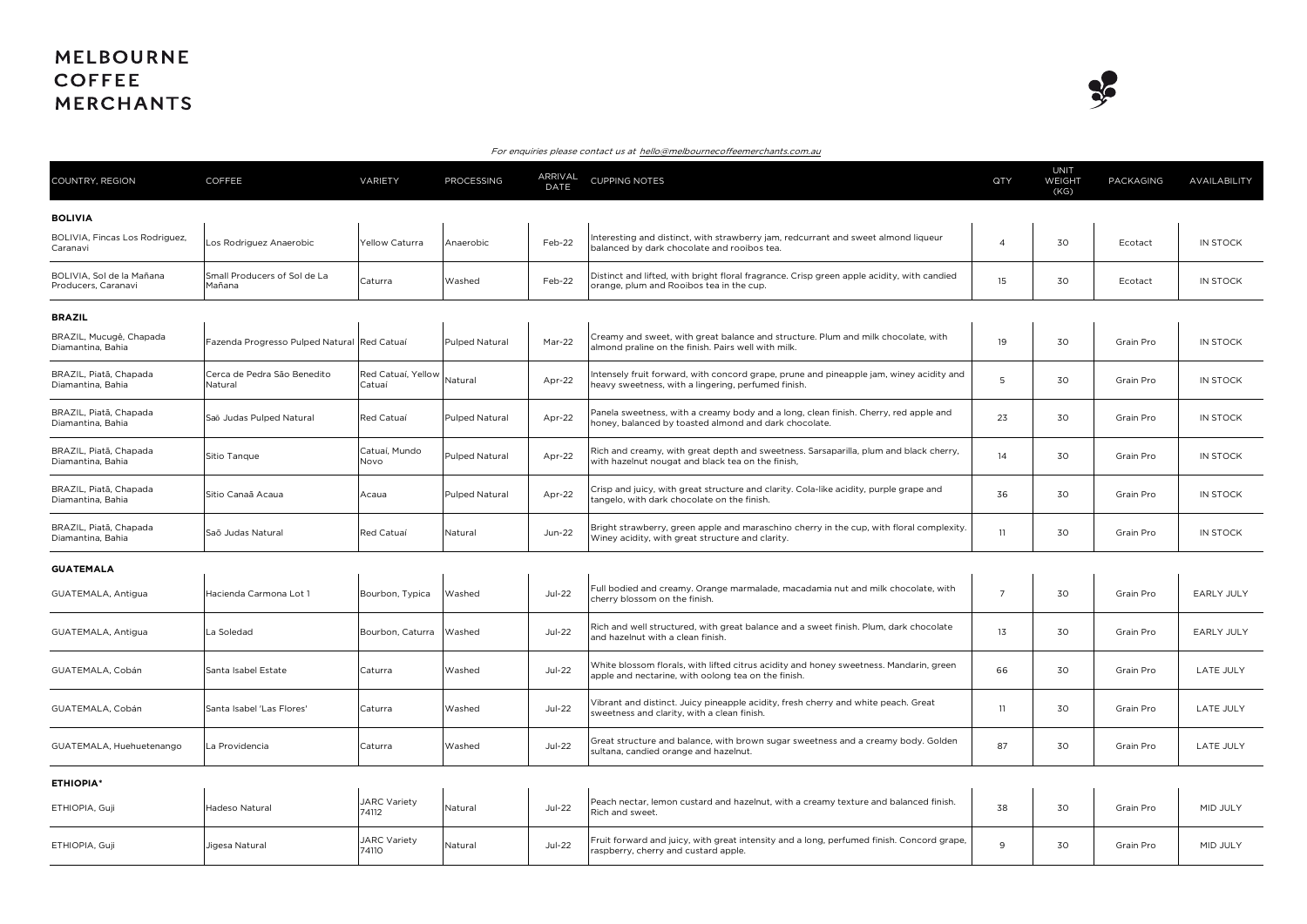## **MELBOURNE COFFEE MERCHANTS**



## For enquiries please contact us at hello@melbournecoffeemerchants.com.au

| COUNTRY, REGION                                  | COFFEE                                      | VARIETY                      | PROCESSING            | ARRIVAL<br>DATE | <b>CUPPING NOTES</b>                                                                                                                           | QTY             | <b>UNIT</b><br>WEIGHT<br>(KG) | PACKAGING | AVAILABILITY      |
|--------------------------------------------------|---------------------------------------------|------------------------------|-----------------------|-----------------|------------------------------------------------------------------------------------------------------------------------------------------------|-----------------|-------------------------------|-----------|-------------------|
| <b>BOLIVIA</b>                                   |                                             |                              |                       |                 |                                                                                                                                                |                 |                               |           |                   |
| BOLIVIA, Fincas Los Rodriguez,<br>Caranavi       | Los Rodriguez Anaerobic                     | Yellow Caturra               | Anaerobic             | Feb-22          | Interesting and distinct, with strawberry jam, redcurrant and sweet almond liqueur<br>balanced by dark chocolate and rooibos tea.              | $\overline{4}$  | 30                            | Ecotact   | IN STOCK          |
| BOLIVIA. Sol de la Mañana<br>Producers, Caranavi | Small Producers of Sol de La<br>Mañana      | Caturra                      | Washed                | Feb-22          | Distinct and lifted, with bright floral fragrance. Crisp green apple acidity, with candied<br>orange, plum and Rooibos tea in the cup.         | 15              | 30                            | Ecotact   | IN STOCK          |
| <b>BRAZIL</b>                                    |                                             |                              |                       |                 |                                                                                                                                                |                 |                               |           |                   |
| BRAZIL, Mucugê, Chapada<br>Diamantina, Bahia     | Fazenda Progresso Pulped Natural Red Catuaí |                              | Pulped Natural        | Mar-22          | Creamy and sweet, with great balance and structure. Plum and milk chocolate, with<br>almond praline on the finish. Pairs well with milk.       | 19              | 30                            | Grain Pro | IN STOCK          |
| BRAZIL, Piatã, Chapada<br>Diamantina, Bahia      | Cerca de Pedra São Benedito<br>Natural      | Red Catuaí, Yellow<br>Catuaí | Natural               | Apr-22          | Intensely fruit forward, with concord grape, prune and pineapple jam, winey acidity and<br>heavy sweetness, with a lingering, perfumed finish. | 5               | 30                            | Grain Pro | IN STOCK          |
| BRAZIL, Piatã, Chapada<br>Diamantina, Bahia      | Saō Judas Pulped Natural                    | Red Catuaí                   | Pulped Natural        | Apr-22          | Panela sweetness, with a creamy body and a long, clean finish. Cherry, red apple and<br>honey, balanced by toasted almond and dark chocolate.  | 23              | 30                            | Grain Pro | IN STOCK          |
| BRAZIL, Piatã, Chapada<br>Diamantina, Bahia      | Sitio Tanque                                | Catuaí, Mundo<br>Novo        | <b>Pulped Natural</b> | Apr-22          | Rich and creamy, with great depth and sweetness. Sarsaparilla, plum and black cherry,<br>with hazelnut nougat and black tea on the finish,     | 14              | 30                            | Grain Pro | <b>IN STOCK</b>   |
| BRAZIL, Piatã, Chapada<br>Diamantina, Bahia      | Sitio Canaã Acaua                           | Acaua                        | Pulped Natural        | Apr-22          | Crisp and juicy, with great structure and clarity. Cola-like acidity, purple grape and<br>tangelo, with dark chocolate on the finish.          | 36              | 30                            | Grain Pro | IN STOCK          |
| BRAZIL, Piatã, Chapada<br>Diamantina, Bahia      | Saõ Judas Natural                           | Red Catuaí                   | Natural               | Jun-22          | Bright strawberry, green apple and maraschino cherry in the cup, with floral complexity.<br>Winey acidity, with great structure and clarity.   | 11              | 30                            | Grain Pro | IN STOCK          |
| <b>GUATEMALA</b>                                 |                                             |                              |                       |                 |                                                                                                                                                |                 |                               |           |                   |
| GUATEMALA, Antigua                               | Hacienda Carmona Lot 1                      | Bourbon, Typica              | Washed                | <b>Jul-22</b>   | Full bodied and creamy. Orange marmalade, macadamia nut and milk chocolate, with<br>cherry blossom on the finish.                              | $7\overline{ }$ | 30                            | Grain Pro | <b>EARLY JULY</b> |
| GUATEMALA, Antigua                               | La Soledad                                  | Bourbon, Caturra             | Washed                | <b>Jul-22</b>   | Rich and well structured, with great balance and a sweet finish. Plum, dark chocolate<br>and hazelnut with a clean finish.                     | 13              | 30                            | Grain Pro | <b>EARLY JULY</b> |
| GUATEMALA, Cobán                                 | Santa Isabel Estate                         | Caturra                      | Washed                | $Jul-22$        | White blossom florals, with lifted citrus acidity and honey sweetness. Mandarin, green<br>apple and nectarine, with oolong tea on the finish.  | 66              | 30                            | Grain Pro | <b>LATE JULY</b>  |
| GUATEMALA, Cobán                                 | Santa Isabel 'Las Flores'                   | Caturra                      | Washed                | $Jul-22$        | Vibrant and distinct. Juicy pineapple acidity, fresh cherry and white peach. Great<br>sweetness and clarity, with a clean finish.              | 11              | 30                            | Grain Pro | <b>LATE JULY</b>  |
| GUATEMALA, Huehuetenango                         | La Providencia                              | Caturra                      | Washed                | <b>Jul-22</b>   | Great structure and balance, with brown sugar sweetness and a creamy body. Golden<br>sultana, candied orange and hazelnut.                     | 87              | 30                            | Grain Pro | <b>LATE JULY</b>  |
| <b>ETHIOPIA*</b>                                 |                                             |                              |                       |                 |                                                                                                                                                |                 |                               |           |                   |
| ETHIOPIA, Guji                                   | Hadeso Natural                              | JARC Variety<br>74112        | Natural               | <b>Jul-22</b>   | Peach nectar, lemon custard and hazelnut, with a creamy texture and balanced finish.<br>Rich and sweet.                                        | 38              | 30                            | Grain Pro | MID JULY          |
| ETHIOPIA, Guji                                   | Jigesa Natural                              | JARC Variety<br>74110        | Natural               | <b>Jul-22</b>   | Fruit forward and juicy, with great intensity and a long, perfumed finish. Concord grape,<br>raspberry, cherry and custard apple.              | 9               | 30                            | Grain Pro | MID JULY          |